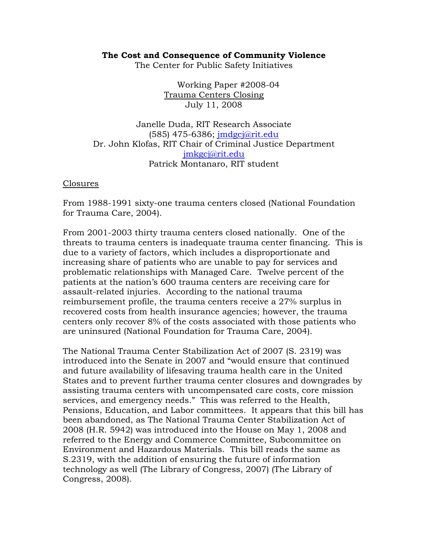## **The Cost and Consequence of Community Violence**

The Center for Public Safety Initiatives

Working Paper #2008-04 Trauma Centers Closing July 11, 2008

Janelle Duda, RIT Research Associate (585) 475-6386; jmdgcj@rit.edu Dr. John Klofas, RIT Chair of Criminal Justice Department jmkgcj@rit.edu Patrick Montanaro, RIT student

#### Closures

From 1988-1991 sixty-one trauma centers closed (National Foundation for Trauma Care, 2004).

From 2001-2003 thirty trauma centers closed nationally. One of the threats to trauma centers is inadequate trauma center financing. This is due to a variety of factors, which includes a disproportionate and increasing share of patients who are unable to pay for services and problematic relationships with Managed Care. Twelve percent of the patients at the nation's 600 trauma centers are receiving care for assault-related injuries. According to the national trauma reimbursement profile, the trauma centers receive a 27% surplus in recovered costs from health insurance agencies; however, the trauma centers only recover 8% of the costs associated with those patients who are uninsured (National Foundation for Trauma Care, 2004).

The National Trauma Center Stabilization Act of 2007 (S. 2319) was introduced into the Senate in 2007 and "would ensure that continued and future availability of lifesaving trauma health care in the United States and to prevent further trauma center closures and downgrades by assisting trauma centers with uncompensated care costs, core mission services, and emergency needs." This was referred to the Health, Pensions, Education, and Labor committees. It appears that this bill has been abandoned, as The National Trauma Center Stabilization Act of 2008 (H.R. 5942) was introduced into the House on May 1, 2008 and referred to the Energy and Commerce Committee, Subcommittee on Environment and Hazardous Materials. This bill reads the same as S.2319, with the addition of ensuring the future of information technology as well (The Library of Congress, 2007) (The Library of Congress, 2008).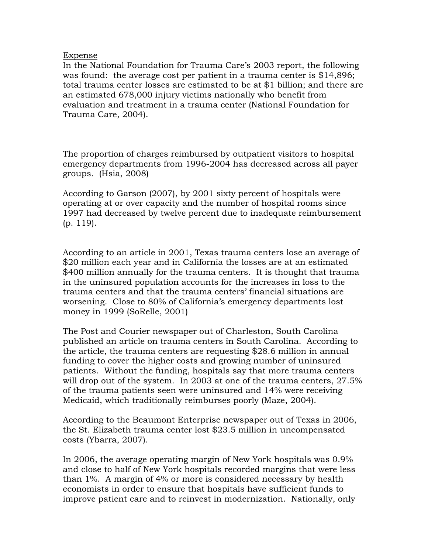# Expense

In the National Foundation for Trauma Care's 2003 report, the following was found: the average cost per patient in a trauma center is \$14,896; total trauma center losses are estimated to be at \$1 billion; and there are an estimated 678,000 injury victims nationally who benefit from evaluation and treatment in a trauma center (National Foundation for Trauma Care, 2004).

The proportion of charges reimbursed by outpatient visitors to hospital emergency departments from 1996-2004 has decreased across all payer groups. (Hsia, 2008)

According to Garson (2007), by 2001 sixty percent of hospitals were operating at or over capacity and the number of hospital rooms since 1997 had decreased by twelve percent due to inadequate reimbursement (p. 119).

According to an article in 2001, Texas trauma centers lose an average of \$20 million each year and in California the losses are at an estimated \$400 million annually for the trauma centers. It is thought that trauma in the uninsured population accounts for the increases in loss to the trauma centers and that the trauma centers' financial situations are worsening. Close to 80% of California's emergency departments lost money in 1999 (SoRelle, 2001)

The Post and Courier newspaper out of Charleston, South Carolina published an article on trauma centers in South Carolina. According to the article, the trauma centers are requesting \$28.6 million in annual funding to cover the higher costs and growing number of uninsured patients. Without the funding, hospitals say that more trauma centers will drop out of the system. In 2003 at one of the trauma centers, 27.5% of the trauma patients seen were uninsured and 14% were receiving Medicaid, which traditionally reimburses poorly (Maze, 2004).

According to the Beaumont Enterprise newspaper out of Texas in 2006, the St. Elizabeth trauma center lost \$23.5 million in uncompensated costs (Ybarra, 2007).

In 2006, the average operating margin of New York hospitals was 0.9% and close to half of New York hospitals recorded margins that were less than 1%. A margin of 4% or more is considered necessary by health economists in order to ensure that hospitals have sufficient funds to improve patient care and to reinvest in modernization. Nationally, only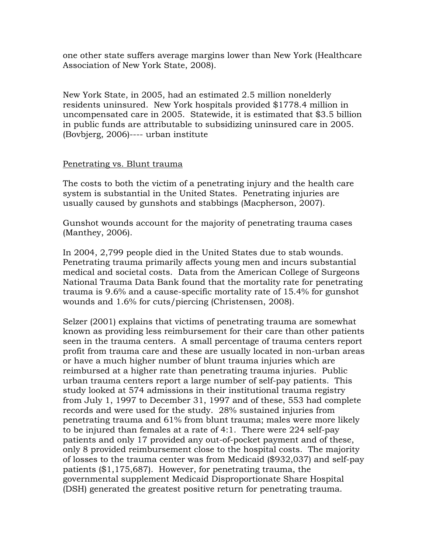one other state suffers average margins lower than New York (Healthcare Association of New York State, 2008).

New York State, in 2005, had an estimated 2.5 million nonelderly residents uninsured. New York hospitals provided \$1778.4 million in uncompensated care in 2005. Statewide, it is estimated that \$3.5 billion in public funds are attributable to subsidizing uninsured care in 2005. (Bovbjerg, 2006)---- urban institute

# Penetrating vs. Blunt trauma

The costs to both the victim of a penetrating injury and the health care system is substantial in the United States. Penetrating injuries are usually caused by gunshots and stabbings (Macpherson, 2007).

Gunshot wounds account for the majority of penetrating trauma cases (Manthey, 2006).

In 2004, 2,799 people died in the United States due to stab wounds. Penetrating trauma primarily affects young men and incurs substantial medical and societal costs. Data from the American College of Surgeons National Trauma Data Bank found that the mortality rate for penetrating trauma is 9.6% and a cause-specific mortality rate of 15.4% for gunshot wounds and 1.6% for cuts/piercing (Christensen, 2008).

Selzer (2001) explains that victims of penetrating trauma are somewhat known as providing less reimbursement for their care than other patients seen in the trauma centers. A small percentage of trauma centers report profit from trauma care and these are usually located in non-urban areas or have a much higher number of blunt trauma injuries which are reimbursed at a higher rate than penetrating trauma injuries. Public urban trauma centers report a large number of self-pay patients. This study looked at 574 admissions in their institutional trauma registry from July 1, 1997 to December 31, 1997 and of these, 553 had complete records and were used for the study. 28% sustained injuries from penetrating trauma and 61% from blunt trauma; males were more likely to be injured than females at a rate of 4:1. There were 224 self-pay patients and only 17 provided any out-of-pocket payment and of these, only 8 provided reimbursement close to the hospital costs. The majority of losses to the trauma center was from Medicaid (\$932,037) and self-pay patients (\$1,175,687). However, for penetrating trauma, the governmental supplement Medicaid Disproportionate Share Hospital (DSH) generated the greatest positive return for penetrating trauma.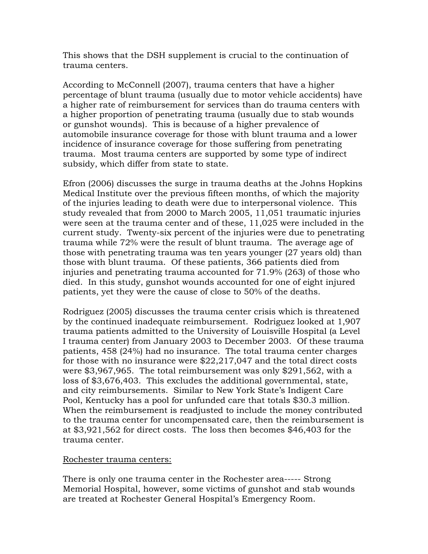This shows that the DSH supplement is crucial to the continuation of trauma centers.

According to McConnell (2007), trauma centers that have a higher percentage of blunt trauma (usually due to motor vehicle accidents) have a higher rate of reimbursement for services than do trauma centers with a higher proportion of penetrating trauma (usually due to stab wounds or gunshot wounds). This is because of a higher prevalence of automobile insurance coverage for those with blunt trauma and a lower incidence of insurance coverage for those suffering from penetrating trauma. Most trauma centers are supported by some type of indirect subsidy, which differ from state to state.

Efron (2006) discusses the surge in trauma deaths at the Johns Hopkins Medical Institute over the previous fifteen months, of which the majority of the injuries leading to death were due to interpersonal violence. This study revealed that from 2000 to March 2005, 11,051 traumatic injuries were seen at the trauma center and of these, 11,025 were included in the current study. Twenty-six percent of the injuries were due to penetrating trauma while 72% were the result of blunt trauma. The average age of those with penetrating trauma was ten years younger (27 years old) than those with blunt trauma. Of these patients, 366 patients died from injuries and penetrating trauma accounted for 71.9% (263) of those who died. In this study, gunshot wounds accounted for one of eight injured patients, yet they were the cause of close to 50% of the deaths.

Rodriguez (2005) discusses the trauma center crisis which is threatened by the continued inadequate reimbursement. Rodriguez looked at 1,907 trauma patients admitted to the University of Louisville Hospital (a Level I trauma center) from January 2003 to December 2003. Of these trauma patients, 458 (24%) had no insurance. The total trauma center charges for those with no insurance were \$22,217,047 and the total direct costs were \$3,967,965. The total reimbursement was only \$291,562, with a loss of \$3,676,403. This excludes the additional governmental, state, and city reimbursements. Similar to New York State's Indigent Care Pool, Kentucky has a pool for unfunded care that totals \$30.3 million. When the reimbursement is readjusted to include the money contributed to the trauma center for uncompensated care, then the reimbursement is at \$3,921,562 for direct costs. The loss then becomes \$46,403 for the trauma center.

### Rochester trauma centers:

There is only one trauma center in the Rochester area----- Strong Memorial Hospital, however, some victims of gunshot and stab wounds are treated at Rochester General Hospital's Emergency Room.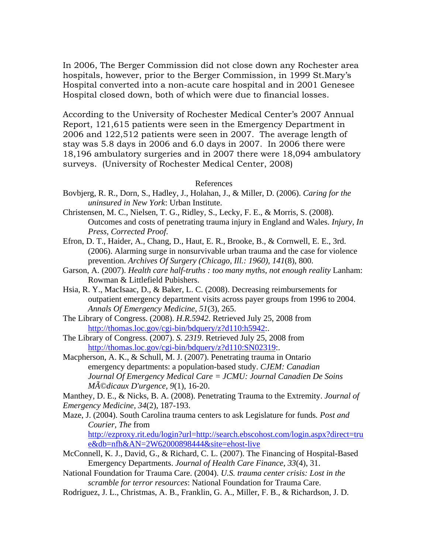In 2006, The Berger Commission did not close down any Rochester area hospitals, however, prior to the Berger Commission, in 1999 St.Mary's Hospital converted into a non-acute care hospital and in 2001 Genesee Hospital closed down, both of which were due to financial losses.

According to the University of Rochester Medical Center's 2007 Annual Report, 121,615 patients were seen in the Emergency Department in 2006 and 122,512 patients were seen in 2007. The average length of stay was 5.8 days in 2006 and 6.0 days in 2007. In 2006 there were 18,196 ambulatory surgeries and in 2007 there were 18,094 ambulatory surveys. (University of Rochester Medical Center, 2008)

#### References

- Bovbjerg, R. R., Dorn, S., Hadley, J., Holahan, J., & Miller, D. (2006). *Caring for the uninsured in New York*: Urban Institute.
- Christensen, M. C., Nielsen, T. G., Ridley, S., Lecky, F. E., & Morris, S. (2008). Outcomes and costs of penetrating trauma injury in England and Wales. *Injury, In Press, Corrected Proof*.
- Efron, D. T., Haider, A., Chang, D., Haut, E. R., Brooke, B., & Cornwell, E. E., 3rd. (2006). Alarming surge in nonsurvivable urban trauma and the case for violence prevention. *Archives Of Surgery (Chicago, Ill.: 1960), 141*(8), 800.
- Garson, A. (2007). *Health care half-truths : too many myths, not enough reality Lanham:* Rowman & Littlefield Pubishers.
- Hsia, R. Y., MacIsaac, D., & Baker, L. C. (2008). Decreasing reimbursements for outpatient emergency department visits across payer groups from 1996 to 2004. *Annals Of Emergency Medicine, 51*(3), 265.
- The Library of Congress. (2008). *H.R.5942*. Retrieved July 25, 2008 from http://thomas.loc.gov/cgi-bin/bdquery/z?d110:h5942:.
- The Library of Congress. (2007). *S. 2319*. Retrieved July 25, 2008 from http://thomas.loc.gov/cgi-bin/bdquery/z?d110:SN02319:.
- Macpherson, A. K., & Schull, M. J. (2007). Penetrating trauma in Ontario emergency departments: a population-based study. *CJEM: Canadian Journal Of Emergency Medical Care = JCMU: Journal Canadien De Soins Médicaux D'urgence, 9*(1), 16-20.

Manthey, D. E., & Nicks, B. A. (2008). Penetrating Trauma to the Extremity. *Journal of Emergency Medicine, 34*(2), 187-193.

Maze, J. (2004). South Carolina trauma centers to ask Legislature for funds*. Post and Courier, The* from

http://ezproxy.rit.edu/login?url=http://search.ebscohost.com/login.aspx?direct=tru e&db=nfh&AN=2W62000898444&site=ehost-live

- McConnell, K. J., David, G., & Richard, C. L. (2007). The Financing of Hospital-Based Emergency Departments. *Journal of Health Care Finance, 33*(4), 31.
- National Foundation for Trauma Care. (2004). *U.S. trauma center crisis: Lost in the scramble for terror resources*: National Foundation for Trauma Care.
- Rodriguez, J. L., Christmas, A. B., Franklin, G. A., Miller, F. B., & Richardson, J. D.